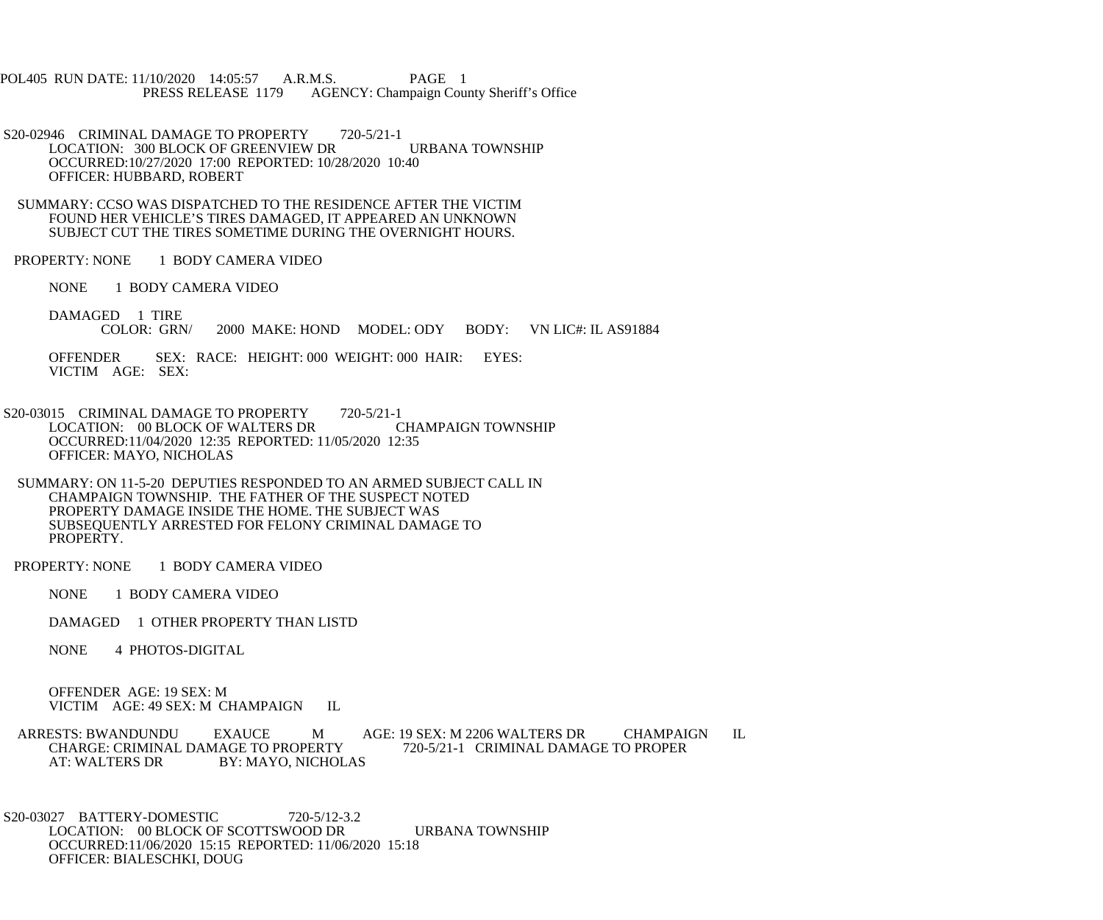POL405 RUN DATE: 11/10/2020 14:05:57 A.R.M.S. PAGE 1<br>PRESS RELEASE 1179 AGENCY: Champaign Cou AGENCY: Champaign County Sheriff's Office

S20-02946 CRIMINAL DAMAGE TO PROPERTY 720-5/21-1 LOCATION: 300 BLOCK OF GREENVIEW DR URBANA TOWNSHIP OCCURRED:10/27/2020 17:00 REPORTED: 10/28/2020 10:40 OFFICER: HUBBARD, ROBERT

 SUMMARY: CCSO WAS DISPATCHED TO THE RESIDENCE AFTER THE VICTIM FOUND HER VEHICLE'S TIRES DAMAGED, IT APPEARED AN UNKNOWN SUBJECT CUT THE TIRES SOMETIME DURING THE OVERNIGHT HOURS.

PROPERTY: NONE 1 BODY CAMERA VIDEO

NONE 1 BODY CAMERA VIDEO

DAMAGED 1 TIRE<br>COLOR: GRN/ 2000 MAKE: HOND MODEL: ODY BODY: VN LIC#: IL AS91884

 OFFENDER SEX: RACE: HEIGHT: 000 WEIGHT: 000 HAIR: EYES: VICTIM AGE: SEX:

S20-03015 CRIMINAL DAMAGE TO PROPERTY 720-5/21-1<br>LOCATION: 00 BLOCK OF WALTERS DR CHAMPAIGN TOWNSHIP LOCATION: 00 BLOCK OF WALTERS DR OCCURRED:11/04/2020 12:35 REPORTED: 11/05/2020 12:35 OFFICER: MAYO, NICHOLAS

 SUMMARY: ON 11-5-20 DEPUTIES RESPONDED TO AN ARMED SUBJECT CALL IN CHAMPAIGN TOWNSHIP. THE FATHER OF THE SUSPECT NOTED PROPERTY DAMAGE INSIDE THE HOME. THE SUBJECT WAS SUBSEQUENTLY ARRESTED FOR FELONY CRIMINAL DAMAGE TO PROPERTY.

PROPERTY: NONE 1 BODY CAMERA VIDEO

NONE 1 BODY CAMERA VIDEO

DAMAGED 1 OTHER PROPERTY THAN LISTD

NONE 4 PHOTOS-DIGITAL

 OFFENDER AGE: 19 SEX: M VICTIM AGE: 49 SEX: M CHAMPAIGN IL

ARRESTS: BWANDUNDU EXAUCE M AGE: 19 SEX: M 2206 WALTERS DR CHAMPAIGN IL CHARGE: CRIMINAL DAMAGE TO PROPER CHARGE: CRIMINAL DAMAGE TO PROPERTY<br>AT: WALTERS DR BY: MAYO, NICHOI BY: MAYO, NICHOLAS

 S20-03027 BATTERY-DOMESTIC 720-5/12-3.2 LOCATION: 00 BLOCK OF SCOTTSWOOD DR URBANA TOWNSHIP OCCURRED:11/06/2020 15:15 REPORTED: 11/06/2020 15:18 OFFICER: BIALESCHKI, DOUG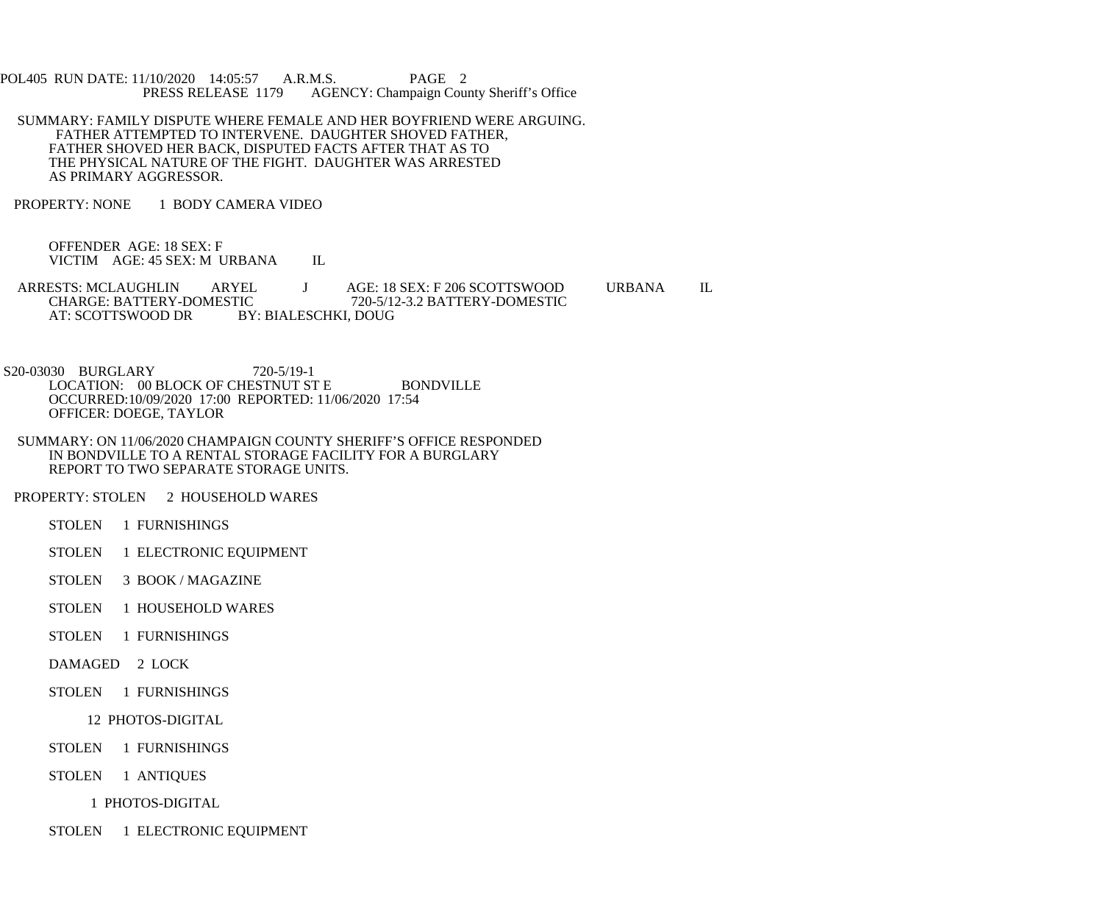POL405 RUN DATE: 11/10/2020 14:05:57 A.R.M.S. PAGE 2<br>PRESS RELEASE 1179 AGENCY: Champaign Cou AGENCY: Champaign County Sheriff's Office

- SUMMARY: FAMILY DISPUTE WHERE FEMALE AND HER BOYFRIEND WERE ARGUING. FATHER ATTEMPTED TO INTERVENE. DAUGHTER SHOVED FATHER, FATHER SHOVED HER BACK, DISPUTED FACTS AFTER THAT AS TO THE PHYSICAL NATURE OF THE FIGHT. DAUGHTER WAS ARRESTED AS PRIMARY AGGRESSOR.
- PROPERTY: NONE 1 BODY CAMERA VIDEO

 OFFENDER AGE: 18 SEX: F VICTIM AGE: 45 SEX: M URBANA IL

ARRESTS: MCLAUGHLIN ARYEL J AGE: 18 SEX: F 206 SCOTTSWOOD URBANA IL<br>CHARGE: BATTERY-DOMESTIC 720-5/12-3.2 BATTERY-DOMESTIC CHARGE: BATTERY-DOMESTIC 720-5/12-3.2 BATTERY-DOMESTIC<br>AT: SCOTTSWOOD DR BY: BIALESCHKI. DOUG BY: BIALESCHKI, DOUG

 S20-03030 BURGLARY 720-5/19-1 LOCATION: 00 BLOCK OF CHESTNUT ST E BONDVILLE OCCURRED:10/09/2020 17:00 REPORTED: 11/06/2020 17:54 OFFICER: DOEGE, TAYLOR

- SUMMARY: ON 11/06/2020 CHAMPAIGN COUNTY SHERIFF'S OFFICE RESPONDED IN BONDVILLE TO A RENTAL STORAGE FACILITY FOR A BURGLARY REPORT TO TWO SEPARATE STORAGE UNITS.
- PROPERTY: STOLEN 2 HOUSEHOLD WARES
	- STOLEN 1 FURNISHINGS
	- STOLEN 1 ELECTRONIC EQUIPMENT
	- STOLEN 3 BOOK / MAGAZINE
	- STOLEN 1 HOUSEHOLD WARES
	- STOLEN 1 FURNISHINGS
	- DAMAGED 2 LOCK

## STOLEN 1 FURNISHINGS

## 12 PHOTOS-DIGITAL

- STOLEN 1 FURNISHINGS
- STOLEN 1 ANTIQUES

1 PHOTOS-DIGITAL

STOLEN 1 ELECTRONIC EQUIPMENT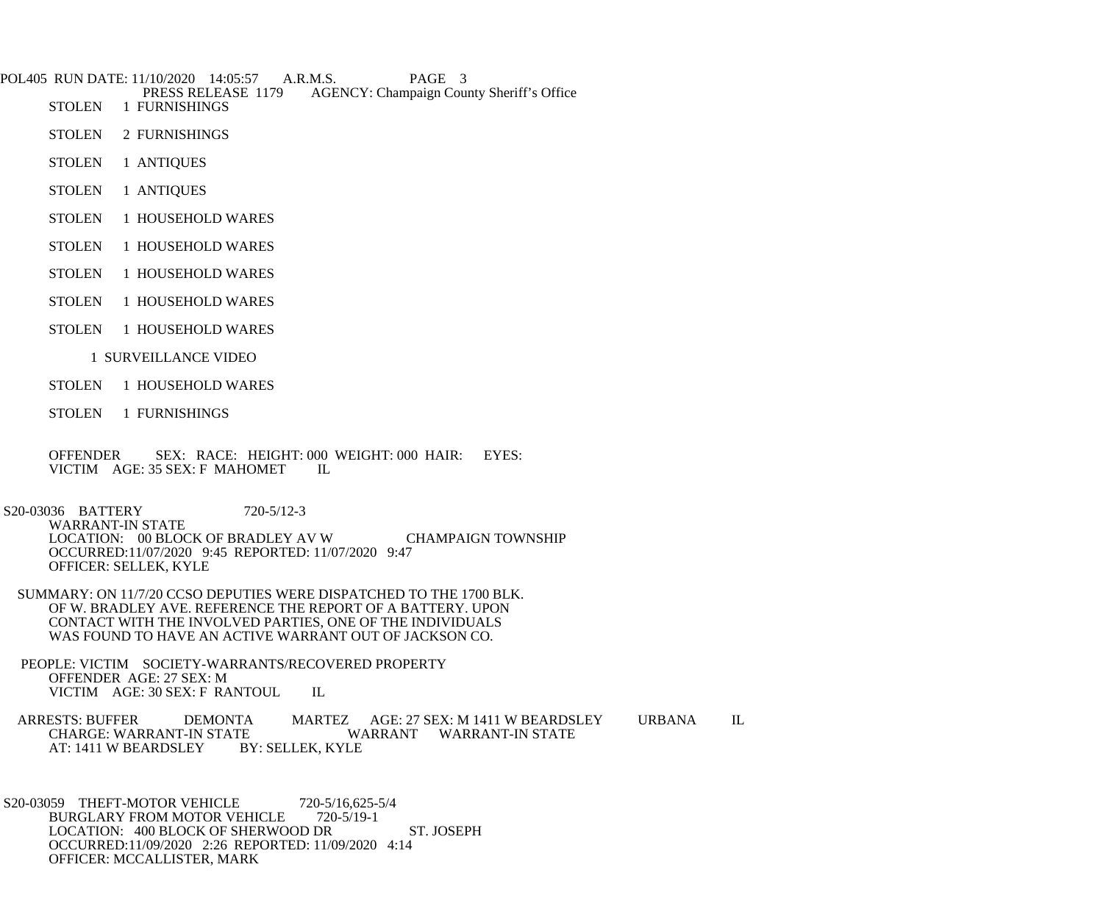POL405 RUN DATE: 11/10/2020 14:05:57 A.R.M.S. PAGE 3<br>PRESS RELEASE 1179 AGENCY: Champaign Cou PRESS RELEASE 1179 AGENCY: Champaign County Sheriff's Office<br>STOLEN 1 FURNISHINGS

- 1 FURNISHINGS
- STOLEN 2 FURNISHINGS
- STOLEN 1 ANTIQUES
- STOLEN 1 ANTIQUES
- STOLEN 1 HOUSEHOLD WARES
- STOLEN 1 HOUSEHOLD WARES
- STOLEN 1 HOUSEHOLD WARES
- STOLEN 1 HOUSEHOLD WARES
- STOLEN 1 HOUSEHOLD WARES
	- 1 SURVEILLANCE VIDEO
- STOLEN 1 HOUSEHOLD WARES
- STOLEN 1 FURNISHINGS

 OFFENDER SEX: RACE: HEIGHT: 000 WEIGHT: 000 HAIR: EYES: VICTIM AGE: 35 SEX: F MAHOMET IL

 S20-03036 BATTERY 720-5/12-3 WARRANT-IN STATE LOCATION: 00 BLOCK OF BRADLEY AV W CHAMPAIGN TOWNSHIP OCCURRED:11/07/2020 9:45 REPORTED: 11/07/2020 9:47 OFFICER: SELLEK, KYLE

 SUMMARY: ON 11/7/20 CCSO DEPUTIES WERE DISPATCHED TO THE 1700 BLK. OF W. BRADLEY AVE. REFERENCE THE REPORT OF A BATTERY. UPON CONTACT WITH THE INVOLVED PARTIES, ONE OF THE INDIVIDUALS WAS FOUND TO HAVE AN ACTIVE WARRANT OUT OF JACKSON CO.

 PEOPLE: VICTIM SOCIETY-WARRANTS/RECOVERED PROPERTY OFFENDER AGE: 27 SEX: M VICTIM AGE: 30 SEX: F RANTOUL IL

ARRESTS: BUFFER DEMONTA MARTEZ AGE: 27 SEX: M 1411 W BEARDSLEY URBANA IL CHARGE: WARRANT WARRANT WARRANT-IN STATE TE WARRANT WARRANT-IN STATE<br>BY: SELLEK, KYLE AT: 1411 W BEARDSLEY

S20-03059 THEFT-MOTOR VEHICLE 720-5/16,625-5/4<br>BURGLARY FROM MOTOR VEHICLE 720-5/19-1 BURGLARY FROM MOTOR VEHICLE LOCATION: 400 BLOCK OF SHERWOOD DR ST. JOSEPH OCCURRED:11/09/2020 2:26 REPORTED: 11/09/2020 4:14 OFFICER: MCCALLISTER, MARK